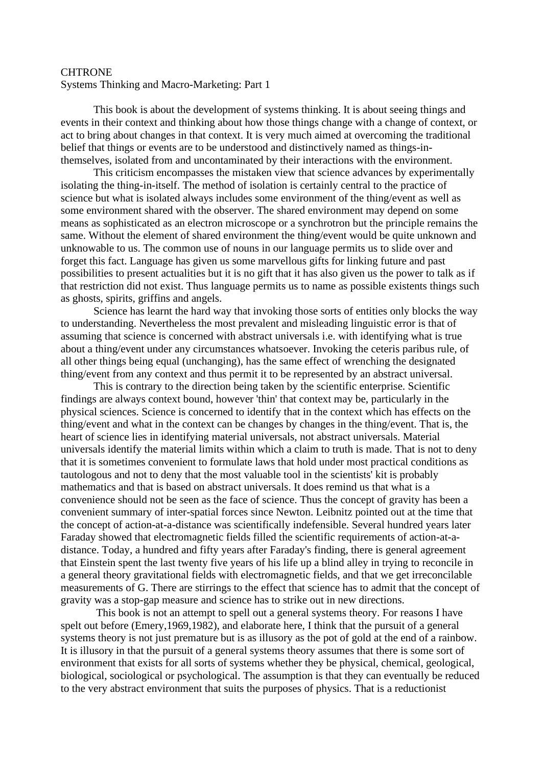## **CHTRONE**

Systems Thinking and Macro-Marketing: Part 1

This book is about the development of systems thinking. It is about seeing things and events in their context and thinking about how those things change with a change of context, or act to bring about changes in that context. It is very much aimed at overcoming the traditional belief that things or events are to be understood and distinctively named as things-inthemselves, isolated from and uncontaminated by their interactions with the environment.

This criticism encompasses the mistaken view that science advances by experimentally isolating the thing-in-itself. The method of isolation is certainly central to the practice of science but what is isolated always includes some environment of the thing/event as well as some environment shared with the observer. The shared environment may depend on some means as sophisticated as an electron microscope or a synchrotron but the principle remains the same. Without the element of shared environment the thing/event would be quite unknown and unknowable to us. The common use of nouns in our language permits us to slide over and forget this fact. Language has given us some marvellous gifts for linking future and past possibilities to present actualities but it is no gift that it has also given us the power to talk as if that restriction did not exist. Thus language permits us to name as possible existents things such as ghosts, spirits, griffins and angels.

Science has learnt the hard way that invoking those sorts of entities only blocks the way to understanding. Nevertheless the most prevalent and misleading linguistic error is that of assuming that science is concerned with abstract universals i.e. with identifying what is true about a thing/event under any circumstances whatsoever. Invoking the ceteris paribus rule, of all other things being equal (unchanging), has the same effect of wrenching the designated thing/event from any context and thus permit it to be represented by an abstract universal.

This is contrary to the direction being taken by the scientific enterprise. Scientific findings are always context bound, however 'thin' that context may be, particularly in the physical sciences. Science is concerned to identify that in the context which has effects on the thing/event and what in the context can be changes by changes in the thing/event. That is, the heart of science lies in identifying material universals, not abstract universals. Material universals identify the material limits within which a claim to truth is made. That is not to deny that it is sometimes convenient to formulate laws that hold under most practical conditions as tautologous and not to deny that the most valuable tool in the scientists' kit is probably mathematics and that is based on abstract universals. It does remind us that what is a convenience should not be seen as the face of science. Thus the concept of gravity has been a convenient summary of inter-spatial forces since Newton. Leibnitz pointed out at the time that the concept of action-at-a-distance was scientifically indefensible. Several hundred years later Faraday showed that electromagnetic fields filled the scientific requirements of action-at-adistance. Today, a hundred and fifty years after Faraday's finding, there is general agreement that Einstein spent the last twenty five years of his life up a blind alley in trying to reconcile in a general theory gravitational fields with electromagnetic fields, and that we get irreconcilable measurements of G. There are stirrings to the effect that science has to admit that the concept of gravity was a stop-gap measure and science has to strike out in new directions.

This book is not an attempt to spell out a general systems theory. For reasons I have spelt out before (Emery,1969,1982), and elaborate here, I think that the pursuit of a general systems theory is not just premature but is as illusory as the pot of gold at the end of a rainbow. It is illusory in that the pursuit of a general systems theory assumes that there is some sort of environment that exists for all sorts of systems whether they be physical, chemical, geological, biological, sociological or psychological. The assumption is that they can eventually be reduced to the very abstract environment that suits the purposes of physics. That is a reductionist